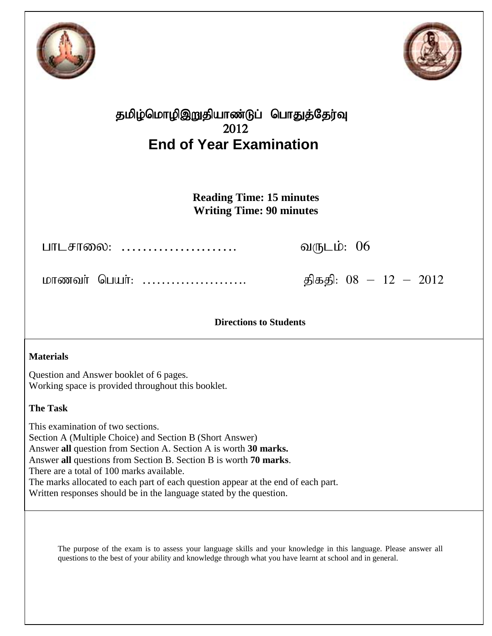



## தமிழ்மொழிஇறுதியாண்டுப் பொதுத்தேர்வு 2012 **End of Year Examination**

**Reading Time: 15 minutes Writing Time: 90 minutes**

ghlrhiy: …………………. tUlk;: 06

khzth; ngah;: …………………. jpfjp: 08 – 12 – 2012

## **Directions to Students**

## **Materials**

Question and Answer booklet of 6 pages. Working space is provided throughout this booklet.

## **The Task**

This examination of two sections. Section A (Multiple Choice) and Section B (Short Answer) Answer **all** question from Section A. Section A is worth **30 marks.** Answer **all** questions from Section B. Section B is worth **70 marks**. There are a total of 100 marks available. The marks allocated to each part of each question appear at the end of each part. Written responses should be in the language stated by the question.

The purpose of the exam is to assess your language skills and your knowledge in this language. Please answer all questions to the best of your ability and knowledge through what you have learnt at school and in general.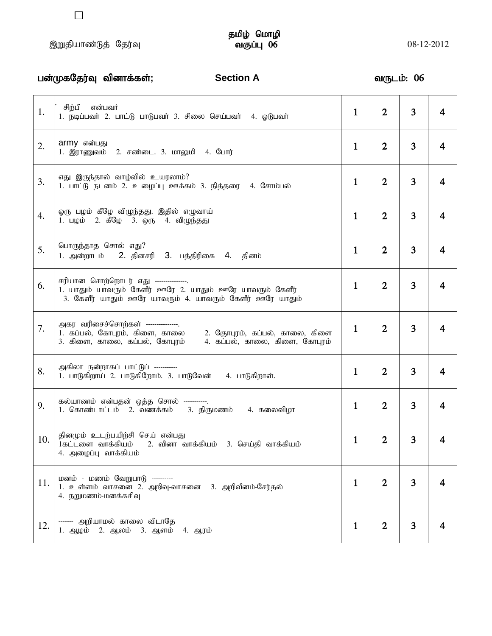# தமிழ் மொழி<br>வகுப்பு 06

|     | பன்முகதேர்வு வினாக்கள்;<br><b>Section A</b>                                                                                                                                |              | வருடம்: 06     |   |   |
|-----|----------------------------------------------------------------------------------------------------------------------------------------------------------------------------|--------------|----------------|---|---|
| 1.  | சிற்பி என்பவர்<br>1. நடிப்பவர் 2. பாட்டு பாடுபவர் 3. சிலை செய்பவர் 4. ஓடுபவர்                                                                                              | $\mathbf{1}$ | $\overline{2}$ | 3 | 4 |
| 2.  | army என்பது<br>1. இராணுவம் 2. சண்டை. 3. மாலுமி 4. போர்                                                                                                                     | $\mathbf{1}$ | $\overline{2}$ | 3 | 4 |
| 3.  | எது இருந்தால் வாழ்வில் உயரலாம்?<br>1. பாட்டு நடனம் 2. உழைப்பு ஊக்கம் 3. நித்தரை 4. சோம்பல்                                                                                 | $\mathbf{1}$ | $\overline{2}$ | 3 | 4 |
| 4.  | ஓரு பழம் கீழே விழுந்தது. இதில் எழுவாய்<br>1. பழம் 2. கீழே 3. ஒரு 4. விழுந்தது                                                                                              | $\mathbf{1}$ | $\overline{2}$ | 3 | 4 |
| 5.  | பொருந்தாத சொல் எது?<br>1. அன்றாடம் 2. தினசரி 3. பத்திரிகை 4. தினம்                                                                                                         | $\mathbf{1}$ | $\overline{2}$ | 3 | 4 |
| 6.  | சரியான சொற்றொடர் எது --------------.<br>1. யாதும் யாவரும் கேளீர் ஊரே 2. யாதும் ஊரே யாவரும் கேளீர்<br>3. கேளீர் யாதும் ஊரே யாவரும் 4. யாவரும் கேளீர் ஊரே யாதும்             | $\mathbf{1}$ | $\overline{2}$ | 3 | 4 |
| 7.  | அகர வரிசைச்சொற்கள் --------------.<br>1. கப்பல், கோபுரம், கிளை, காலை<br>2. கோபுரம், கப்பல், காலை, கிளை<br>3. கிளை, காலை, கப்பல், கோபுரம்<br>4. கப்பல், காலை, கிளை, கோபுரம் | 1            | $\overline{2}$ | 3 | 4 |
| 8.  | அகிலா நன்றாகப் பாட்டுப் -----------<br>1. பாடுகிறாய் 2. பாடுகிறோம். 3. பாடுவேன் 4. பாடுகிறாள்.                                                                             | 1            | $\overline{2}$ | 3 | 4 |
| 9.  | கல்யாணம் என்பதன் ஒத்த சொல் -----------.<br>1. கொண்டாட்டம் 2. வணக்கம் 3. திருமணம் 4. கலைவிழா                                                                                | $\mathbf{1}$ | $\mathbf{2}$   | 3 | 4 |
| 10. | தினமும் உடற்பயிற்சி செய் என்பது<br>1கட்டளை வாக்கியம்<br>2. வினா வாக்கியம் 3. செய்தி வாக்கியம்<br>4. அழைப்பு வாக்கியம்                                                      | $\mathbf 1$  | 2              | 3 | 4 |
| 11. | மனம் - மணம் வேறுபாடு ----------<br>1. உள்ளம் வாசனை 2. அறிவு-வாசனை 3. அறிவீனம்-சேர்தல்<br>4. நறுமணம்-மனக்கசிவு                                                              | 1            | $\mathbf{2}$   | 3 | 4 |
| 12. | ------- அறியாமல் காலை விடாதே<br>1. ஆழம் 2. ஆலம் 3. ஆளம்<br>4. ஆரம்                                                                                                         | $\mathbf 1$  | 2              | 3 | 4 |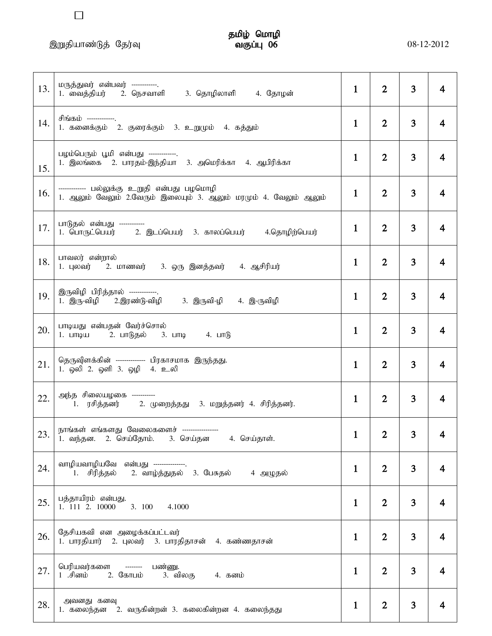,Wjpahz;Lj; Nju;T tFg;G 06 08-12-2012

 $\Box$ 

# தமிழ் மொழி<br>வகுப்பு 06

| 13. | மருத்துவர் என்பவர் -----------.<br>1. வைத்தியர்     2. நெசவாளி       3. தொழிலாளி       4. தோழன்                | $\mathbf{1}$ | $\overline{2}$ | 3 | 4              |
|-----|----------------------------------------------------------------------------------------------------------------|--------------|----------------|---|----------------|
| 14. | சிங்கம் ------------- <u>.</u><br>1. கனைக்கும் 2. குரைக்கும் 3. உறுமும் 4. கத்தும்                             | 1            | $\overline{2}$ | 3 | 4              |
| 15. | பழம்பெரும் பூமி என்பது -------------.<br>1. இலங்கை 2. பாரதம்-இந்தியா 3. அமெரிக்கா 4. ஆபிரிக்கா                 | $\mathbf{1}$ | $\overline{2}$ | 3 | 4              |
| 16. | ------------ பல்லுக்கு உறுதி என்பது பழமொழி<br>1. ஆலும் வேலும் 2.வேரும் இலையும் 3. ஆலும் மரமும் 4. வேலும் ஆலும் | $\mathbf{1}$ | $\overline{2}$ | 3 | 4              |
| 17. | பாடுதல் என்பது ------------<br>1. பொருட்பெயர்        2. இடப்பெயர்    3. காலப்பெயர்        4.தொழிற்பெயர்        | $\mathbf{1}$ | $\overline{2}$ | 3 | $\overline{4}$ |
| 18. | பாவலர் என்றால்<br>1. புலவர் 2. மாணவர் 3. ஒரு இனத்தவர்<br>4. ஆசிரியர்                                           | $\mathbf{1}$ | $\overline{2}$ | 3 | 4              |
| 19. | இருவிழி பிரித்தால் -------------.<br>1. இரு-விழி 2.இரண்டு-விழி 3. இருவி-ழி 4. இ-ருவிழி                         | 1            | $\overline{2}$ | 3 | 4              |
| 20. | பாடியது என்பதன் வேர்ச்சொல்<br>1. பாடிய 2. பாடுதல் 3. பாடி 4. பாடு                                              | $\mathbf{1}$ | $\overline{2}$ | 3 | 4              |
| 21. | தெருவிளக்கின் ------------- பிரகாசமாக இருந்தது.<br>1. ஒலி 2. ஒளி 3. ஒழி 4. உலி                                 | $\mathbf{1}$ | $\overline{2}$ | 3 | 4              |
| 22. | அந்த சிலையழகை -----------<br>1. ரசித்தனர் 2. முறைத்தது 3. மறுத்தனர் 4. சிரித்தனர்.                             | $\mathbf{1}$ | $\overline{2}$ | 3 | 4              |
| 23. | நாங்கள் எங்களது வேலைகளைச் ----------------<br>2. செய்தோம்.<br>3. செய்தன<br>4. செய்தாள்.<br>1. வந்தன.           | $\mathbf 1$  | $\overline{2}$ | 3 | 4              |
| 24. | வாழியவாழியவே என்பது --------------.<br>2. வாழ்த்துதல் 3. பேசுதல்<br>4 அழுதல்<br>1. சிரித்தல்                   | 1            | $\overline{2}$ | 3 | 4              |
| 25. | பத்தாயிரம் என்பது.<br>1. 111 2. 10000<br>3. 100<br>4.1000                                                      | 1            | $\overline{2}$ | 3 | 4              |
| 26. | தேசியகவி என அழைக்கப்பட்டவர்<br>1. பாரதியார் 2. புலவர் 3. பாரதிதாசன் 4. கண்ணதாசன்                               | $\mathbf{1}$ | $\overline{2}$ | 3 | 4              |
| 27. | பெரியவர்களை<br>பண்ணு.<br>--------<br>2. கோபம்<br>1 .சினம்<br>3. விலகு<br>4. கனம்                               | 1            | $\overline{2}$ | 3 | 4              |
| 28. | அவனது கனவு<br>2. வருகின்றன் 3. கலைகின்றன 4. கலைந்தது<br>1. கலைந்தன                                             | $\mathbf 1$  | $\overline{2}$ | 3 |                |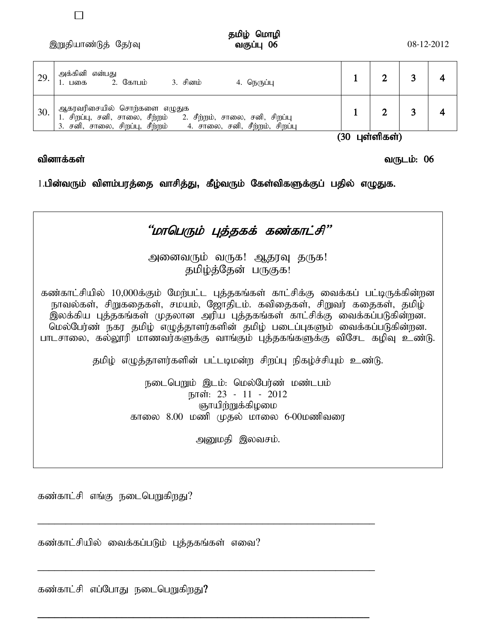,Wjpahz;Lj; Nju;T tFg;G 06 08-12-2012

 $\Box$ 

| 29. | அக்கினி என்பது<br>2. கோபம்<br>3. சினம்<br>4. நெருப்பு<br>1. பகை                                                                                               |  |  |
|-----|---------------------------------------------------------------------------------------------------------------------------------------------------------------|--|--|
| 30. | ஆகரவரிசையில் சொற்களை எழுதுக<br>சிறப்பு, சனி, சாலை, சீற்றம்<br>2. சீற்றம், சாலை, சனி, சிறப்பு<br>4. சாலை, சனி, சீற்றம், சிறப்பு<br>சனி, சாலை, சிறப்பு, சீற்றம் |  |  |

 $(30 \;$  цள்ளிகள்)

#### வினாக்கள் பயன் மறைப்பட்ட வருக்கும். மறைப்பட்ட வருக்கும் மறைப்பட்ட வருடம்: 06

1.பின்வரும் விளம்பரத்தை வாசித்து, கீழ்வரும் கேள்விகளுக்குப் பதில் எழுதுக.



கண்காட்சி எங்கு நடைபெறுகிறது?

கண்காட்சியில் வைக்கப்படும் புத்தகங்கள் எவை?

\_\_\_\_\_\_\_\_\_\_\_\_\_\_\_\_\_\_\_\_\_\_\_\_\_\_\_\_\_\_\_\_\_\_\_\_\_\_\_\_\_\_\_\_\_\_\_\_\_\_\_\_\_\_\_\_\_\_\_\_

\_\_\_\_\_\_\_\_\_\_\_\_\_\_\_\_\_\_\_\_\_\_\_\_\_\_\_\_\_\_\_\_\_\_\_\_\_\_\_\_\_\_\_\_\_\_\_\_\_\_\_\_\_\_\_\_\_\_\_\_

**\_\_\_\_\_\_\_\_\_\_\_\_\_\_\_\_\_\_\_\_\_\_\_\_\_\_\_\_\_\_\_\_\_\_\_\_\_\_\_\_\_\_\_\_\_\_\_\_\_\_\_\_\_\_\_\_\_\_\_**

கண்காட்சி எப்போது நடைபெறுகிறது?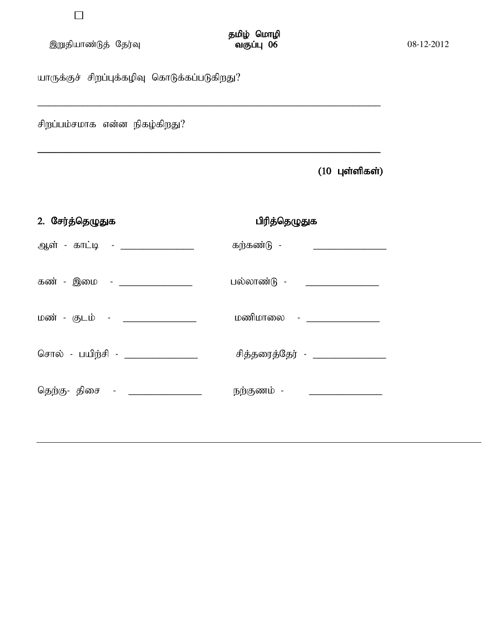| இறுதியாண்டுத் தேர்வு | வகுப்பு 06 | 08-12-2012 |
|----------------------|------------|------------|
|                      |            |            |

யாருக்குச் சிறப்புக்கழிவு கொடுக்கப்படுகிறது?

சிறப்பம்சமாக என்ன நிகழ்கிறது $?$ 

 $(10 \text{ L}$ ள்ளிகள்)

| 2. சேர்த்தெழுதுக                  | பிரித்தெழுதுக               |
|-----------------------------------|-----------------------------|
| ஆள் - காட்டி - _______________    | கற்கண்டு -                  |
| கண் - இமை - ________________      | பல்லாண்டு - _______________ |
| மண் - குடம் - ________________    | மணிமாலை - ________          |
| சொல் - பயிற்சி - ________________ | சித்தரைத்தேர் - _______     |
| தெற்கு- திசை - _________________  | நற்குணம் -                  |
|                                   |                             |

\_\_\_\_\_\_\_\_\_\_\_\_\_\_\_\_\_\_\_\_\_\_\_\_\_\_\_\_\_\_\_\_\_\_\_\_\_\_\_\_\_\_\_\_\_\_\_\_\_\_\_\_\_\_\_\_\_\_\_\_\_

**\_\_\_\_\_\_\_\_\_\_\_\_\_\_\_\_\_\_\_\_\_\_\_\_\_\_\_\_\_\_\_\_\_\_\_\_\_\_\_\_\_\_\_\_\_\_\_\_\_\_\_\_\_\_\_\_\_\_\_\_\_**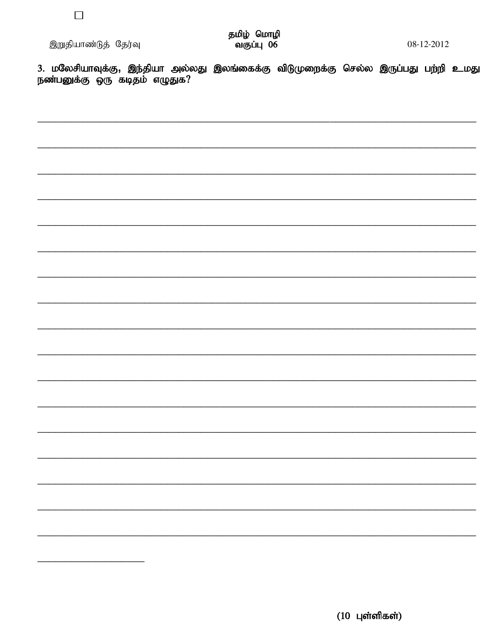3. மலேசியாவுக்கு, இந்தியா அல்லது இலங்கைக்கு விடுமுறைக்கு செல்ல இருப்பது பற்றி உமது<br>நண்பனுக்கு ஒரு கடிதம் எழுதுக?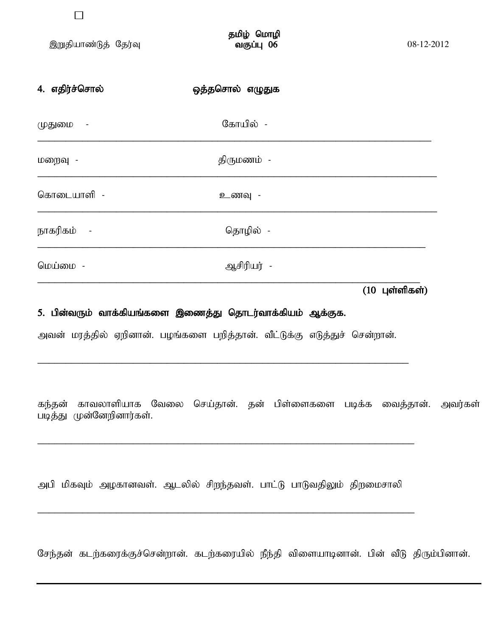| 4. எதிர்ச்சொல் | ஒத்தசொல் எழுதுக |  |
|----------------|-----------------|--|
| முதுமை -       | கோயில் -        |  |
| மறைவு -        | திருமணம் -      |  |
| கொடையாளி -     | உணவு -          |  |
| நாகரிகம் -     | தொழில் -        |  |
| மெய்மை -       | ஆசிரியர் -      |  |

 $(10 \text{ L}$ ள்ளிகள்)

## 5. பின்வரும் வாக்கியங்களை இணைத்து தொடர்வாக்கியம் ஆக்குக.

அவன் மரத்தில் ஏறினான். பழங்களை பறித்தான். வீட்டுக்கு எடுத்துச் சென்றான்.

\_\_\_\_\_\_\_\_\_\_\_\_\_\_\_\_\_\_\_\_\_\_\_\_\_\_\_\_\_\_\_\_\_\_\_\_\_\_\_\_\_\_\_\_\_\_\_\_\_\_\_\_\_\_\_\_\_\_\_\_\_\_\_\_\_\_

கந்தன் காவலாளியாக வேலை செய்தான். தன் பிள்ளைகளை படிக்க வைத்தான். அவர்கள் படித்து முன்னேறினார்கள்.

அபி மிகவும் அழகானவள். ஆடலில் சிறந்தவள். பாட்டு பாடுவதிலும் திறமைசாலி

\_\_\_\_\_\_\_\_\_\_\_\_\_\_\_\_\_\_\_\_\_\_\_\_\_\_\_\_\_\_\_\_\_\_\_\_\_\_\_\_\_\_\_\_\_\_\_\_\_\_\_\_\_\_\_\_\_\_\_\_\_\_\_\_\_\_\_

\_\_\_\_\_\_\_\_\_\_\_\_\_\_\_\_\_\_\_\_\_\_\_\_\_\_\_\_\_\_\_\_\_\_\_\_\_\_\_\_\_\_\_\_\_\_\_\_\_\_\_\_\_\_\_\_\_\_\_\_\_\_\_\_\_\_\_

சேந்தன் கடற்கரைக்குச்சென்றான். கடற்கரையில் நீந்தி விளையாடினான். பின் வீடு திரும்பினான்.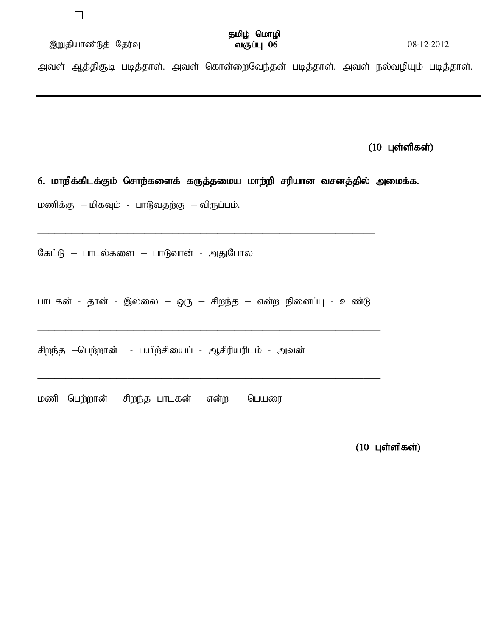இறுதியாண்டுத் தேர்வு  $\overline{\text{ou}}$ குப்பு  $\overline{\text{O6}}$   $\overline{\text{O}}$   $\overline{\text{O}}$   $\overline{\text{O}}$   $\overline{\text{O}}$   $\overline{\text{O}}$   $\overline{\text{O}}$   $\overline{\text{O}}$   $\overline{\text{O}}$   $\overline{\text{O}}$   $\overline{\text{O}}$   $\overline{\text{O}}$   $\overline{\text{O}}$   $\overline{\text{O}}$   $\overline{\text{O}}$   $\overline{\text{O}}$   $\overline{\$ 

அவள் ஆத்திசூடி படித்தாள். அவள் கொன்றைவேந்தன் படித்தாள். அவள் நல்வழியும் படித்தாள்.

 $(10 \text{ L}$ ள்ளிகள்)

6. மாறிக்கிடக்கும் சொற்களைக் கருத்தமைய மாற்றி சரியான வசனத்தில் அமைக்க.

மணிக்கு – மிகவும் - பாடுவதற்கு – விருப்பம்.

கேட்டு – பாடல்களை – பாடுவான் - அதுபோல

பாடகன் - தான் - இல்லை – ஒரு – சிறந்த – என்ற நினைப்பு - உண்டு

\_\_\_\_\_\_\_\_\_\_\_\_\_\_\_\_\_\_\_\_\_\_\_\_\_\_\_\_\_\_\_\_\_\_\_\_\_\_\_\_\_\_\_\_\_\_\_\_\_\_\_\_\_\_\_\_\_\_\_\_\_

\_\_\_\_\_\_\_\_\_\_\_\_\_\_\_\_\_\_\_\_\_\_\_\_\_\_\_\_\_\_\_\_\_\_\_\_\_\_\_\_\_\_\_\_\_\_\_\_\_\_\_\_\_\_\_\_\_\_\_\_\_

\_\_\_\_\_\_\_\_\_\_\_\_\_\_\_\_\_\_\_\_\_\_\_\_\_\_\_\_\_\_\_\_\_\_\_\_\_\_\_\_\_\_\_\_\_\_\_\_\_\_\_\_\_\_\_\_\_\_\_\_\_

\_\_\_\_\_\_\_\_\_\_\_\_\_\_\_\_\_\_\_\_\_\_\_\_\_\_\_\_\_\_\_\_\_\_\_\_\_\_\_\_\_\_\_\_\_\_\_\_\_\_\_\_\_\_\_\_\_\_\_\_

\_\_\_\_\_\_\_\_\_\_\_\_\_\_\_\_\_\_\_\_\_\_\_\_\_\_\_\_\_\_\_\_\_\_\_\_\_\_\_\_\_\_\_\_\_\_\_\_\_\_\_\_\_\_\_\_\_\_\_\_

சிறந்த –பெற்றான் - பயிற்சியைப் - ஆசிரியரிடம் - அவன்

மணி- பெற்றான் - சிறந்த பாடகன் - என்ற – பெயரை

 $(10 \text{ L}$ ள்ளிகள்)